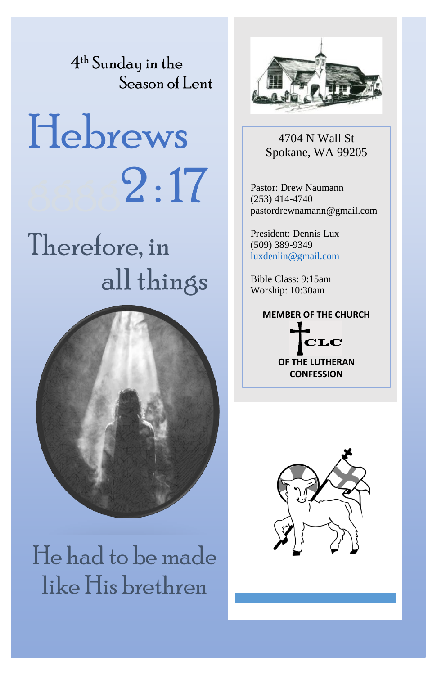4 th Sunday in the Season of Lent

# Hebrews  $2:17$

## Therefore, in all things



He had to be made like His brethren



4704 N Wall St Spokane, WA 99205

Pastor: Drew Naumann (253) 414-4740 pastordrewnamann@gmail.com

President: Dennis Lux (509) 389-9349 [luxdenlin@gmail.com](mailto:luxdenlin@gmail.com)

Bible Class: 9:15am Worship: 10:30am

### **MEMBER OF THE CHURCH**



**OF THE LUTHERAN CONFESSION**

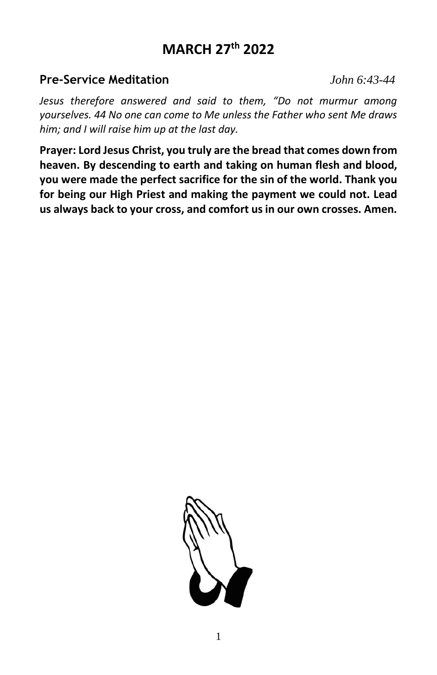### **MARCH 27 th 2022**

### **Pre-Service Meditation** *John 6:43-44*

*Jesus therefore answered and said to them, "Do not murmur among yourselves. 44 No one can come to Me unless the Father who sent Me draws him; and I will raise him up at the last day.* 

**Prayer: Lord Jesus Christ, you truly are the bread that comes down from heaven. By descending to earth and taking on human flesh and blood, you were made the perfect sacrifice for the sin of the world. Thank you for being our High Priest and making the payment we could not. Lead us always back to your cross, and comfort us in our own crosses. Amen.**

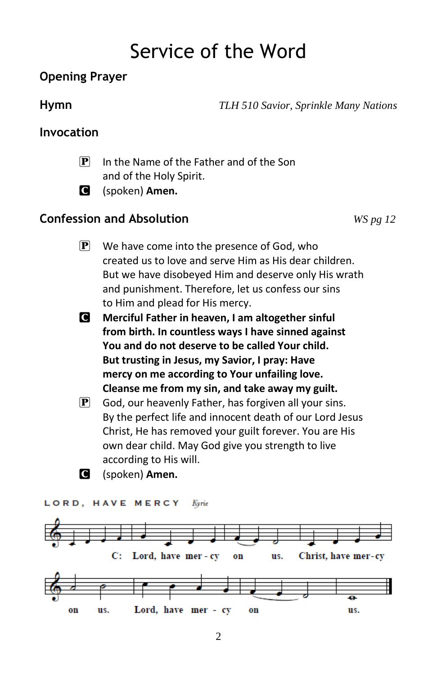### Service of the Word

### **Opening Prayer**

**Hymn** *TLH 510 Savior, Sprinkle Many Nations*

### **Invocation**

- P In the Name of the Father and of the Son and of the Holy Spirit.
- C (spoken) **Amen.**

### **Confession and Absolution** *WS pg 12*

- $\left| \mathbf{P} \right|$  We have come into the presence of God, who created us to love and serve Him as His dear children. But we have disobeyed Him and deserve only His wrath and punishment. Therefore, let us confess our sins to Him and plead for His mercy.
- C **Merciful Father in heaven, I am altogether sinful from birth. In countless ways I have sinned against You and do not deserve to be called Your child. But trusting in Jesus, my Savior, I pray: Have mercy on me according to Your unfailing love. Cleanse me from my sin, and take away my guilt.**
- $\mathbf{P}$  God, our heavenly Father, has forgiven all your sins. By the perfect life and innocent death of our Lord Jesus Christ, He has removed your guilt forever. You are His own dear child. May God give you strength to live according to His will.
- C (spoken) **Amen.**

### LORD, HAVE MERCY Kyrie

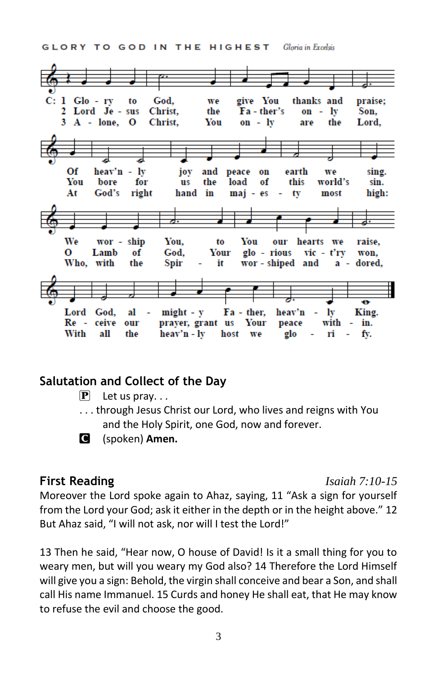GLORY TO GOD IN THE HIGHEST Gloria in Excelsis



### **Salutation and Collect of the Day**

- $\left[\mathbf{P}\right]$  Let us pray...
- . . . through Jesus Christ our Lord, who lives and reigns with You and the Holy Spirit, one God, now and forever.



C (spoken) **Amen.**

### **First Reading** *Isaiah 7:10-15*

Moreover the Lord spoke again to Ahaz, saying, 11 "Ask a sign for yourself from the Lord your God; ask it either in the depth or in the height above." 12 But Ahaz said, "I will not ask, nor will I test the Lord!"

13 Then he said, "Hear now, O house of David! Is it a small thing for you to weary men, but will you weary my God also? 14 Therefore the Lord Himself will give you a sign: Behold, the virgin shall conceive and bear a Son, and shall call His name Immanuel. 15 Curds and honey He shall eat, that He may know to refuse the evil and choose the good.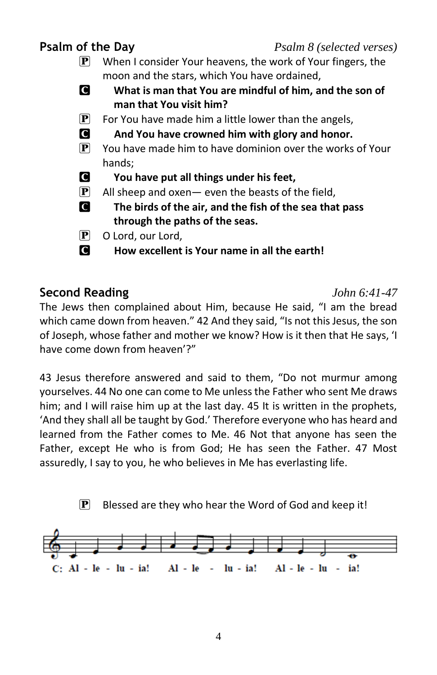### **Psalm of the Day** *Psalm 8 (selected verses)* **P** When I consider Your heavens, the work of Your fingers, the moon and the stars, which You have ordained, C **What is man that You are mindful of him, and the son of man that You visit him?**  $\mathbf{P}$  For You have made him a little lower than the angels, C **And You have crowned him with glory and honor.**  $\mathbf{P}$  You have made him to have dominion over the works of Your hands; C **You have put all things under his feet,**  $\mathbf{P}$  All sheep and oxen - even the beasts of the field, C **The birds of the air, and the fish of the sea that pass through the paths of the seas.** P O Lord, our Lord, C **How excellent is Your name in all the earth!**

**Second Reading** *John 6:41-47* The Jews then complained about Him, because He said, "I am the bread which came down from heaven." 42 And they said, "Is not this Jesus, the son of Joseph, whose father and mother we know? How is it then that He says, 'I have come down from heaven'?"

43 Jesus therefore answered and said to them, "Do not murmur among yourselves. 44 No one can come to Me unless the Father who sent Me draws him; and I will raise him up at the last day. 45 It is written in the prophets, 'And they shall all be taught by God.' Therefore everyone who has heard and learned from the Father comes to Me. 46 Not that anyone has seen the Father, except He who is from God; He has seen the Father. 47 Most assuredly, I say to you, he who believes in Me has everlasting life.

 $\mathbf{P}$  Blessed are they who hear the Word of God and keep it!

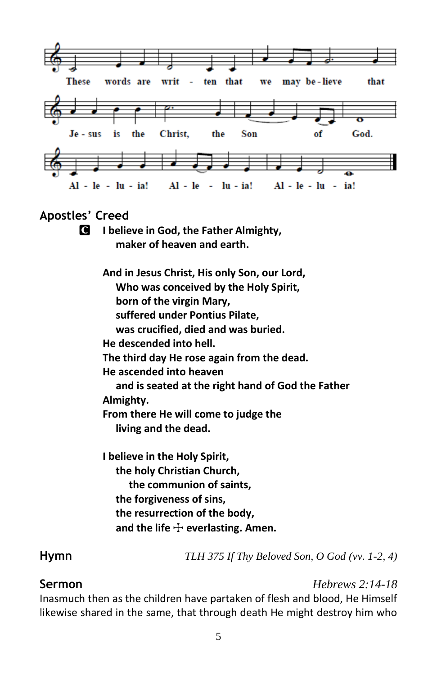

### **Apostles' Creed**

C **I believe in God, the Father Almighty, maker of heaven and earth.**

> **And in Jesus Christ, His only Son, our Lord, Who was conceived by the Holy Spirit, born of the virgin Mary, suffered under Pontius Pilate, was crucified, died and was buried. He descended into hell. The third day He rose again from the dead. He ascended into heaven and is seated at the right hand of God the Father Almighty. From there He will come to judge the living and the dead.**

**I believe in the Holy Spirit, the holy Christian Church, the communion of saints, the forgiveness of sins, the resurrection of the body,** and the life  $\div$  everlasting. Amen.

**Hymn** *TLH 375 If Thy Beloved Son, O God (vv. 1-2, 4)*

**Sermon** *Hebrews 2:14-18*

Inasmuch then as the children have partaken of flesh and blood, He Himself likewise shared in the same, that through death He might destroy him who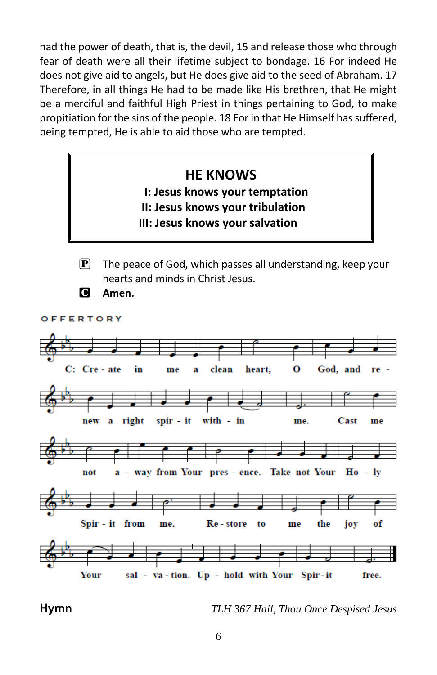had the power of death, that is, the devil, 15 and release those who through fear of death were all their lifetime subject to bondage. 16 For indeed He does not give aid to angels, but He does give aid to the seed of Abraham. 17 Therefore, in all things He had to be made like His brethren, that He might be a merciful and faithful High Priest in things pertaining to God, to make propitiation for the sins of the people. 18 For in that He Himself has suffered, being tempted, He is able to aid those who are tempted.

### **HE KNOWS**

### **I: Jesus knows your temptation**

- **II: Jesus knows your tribulation**
- **III: Jesus knows your salvation**
- 
- $\mathbf{P}$  The peace of God, which passes all understanding, keep your hearts and minds in Christ Jesus.

C **Amen.**

OFFERTORY



**Hymn** *TLH 367 Hail, Thou Once Despised Jesus*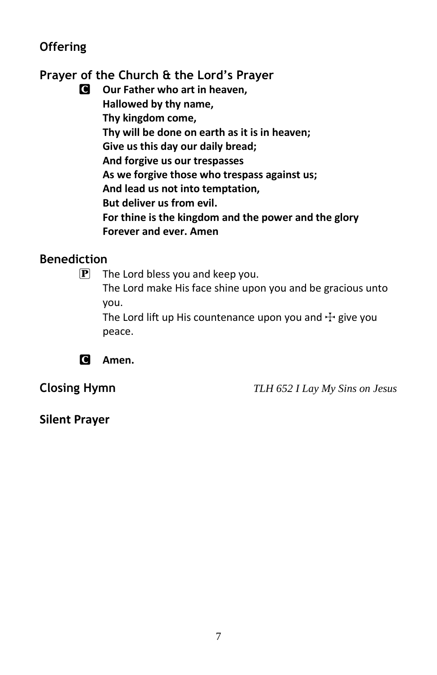### **Offering**

**Prayer of the Church & the Lord's Prayer**

C **Our Father who art in heaven, Hallowed by thy name, Thy kingdom come, Thy will be done on earth as it is in heaven; Give us this day our daily bread; And forgive us our trespasses As we forgive those who trespass against us; And lead us not into temptation, But deliver us from evil. For thine is the kingdom and the power and the glory Forever and ever. Amen**

### **Benediction**

 $\boxed{\mathbf{P}}$  The Lord bless you and keep you. The Lord make His face shine upon you and be gracious unto you.

The Lord lift up His countenance upon you and  $\pm$  give you peace.



**Closing Hymn** *TLH 652 I Lay My Sins on Jesus*

**Silent Prayer**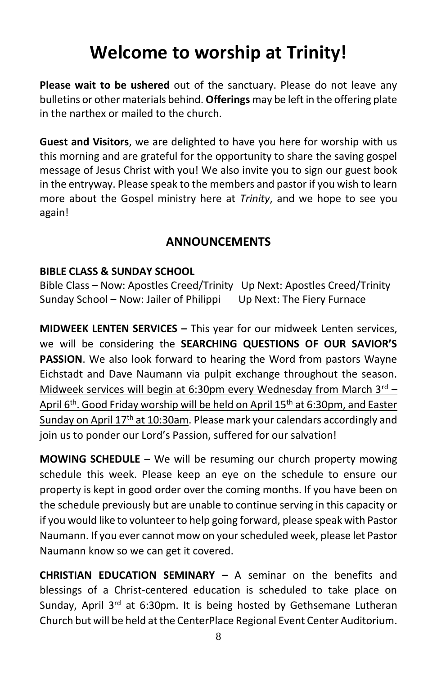### **Welcome to worship at Trinity!**

**Please wait to be ushered** out of the sanctuary. Please do not leave any bulletins or other materials behind. **Offerings** may be left in the offering plate in the narthex or mailed to the church.

**Guest and Visitors**, we are delighted to have you here for worship with us this morning and are grateful for the opportunity to share the saving gospel message of Jesus Christ with you! We also invite you to sign our guest book in the entryway. Please speak to the members and pastor if you wish to learn more about the Gospel ministry here at *Trinity*, and we hope to see you again!

### **ANNOUNCEMENTS**

### **BIBLE CLASS & SUNDAY SCHOOL**

Bible Class – Now: Apostles Creed/Trinity Up Next: Apostles Creed/Trinity Sunday School – Now: Jailer of Philippi Up Next: The Fiery Furnace

**MIDWEEK LENTEN SERVICES –** This year for our midweek Lenten services, we will be considering the **SEARCHING QUESTIONS OF OUR SAVIOR'S PASSION**. We also look forward to hearing the Word from pastors Wayne Eichstadt and Dave Naumann via pulpit exchange throughout the season. Midweek services will begin at 6:30pm every Wednesday from March  $3<sup>rd</sup>$  – April 6<sup>th</sup>. Good Friday worship will be held on April 15<sup>th</sup> at 6:30pm, and Easter Sunday on April 17<sup>th</sup> at 10:30am. Please mark your calendars accordingly and join us to ponder our Lord's Passion, suffered for our salvation!

**MOWING SCHEDULE** – We will be resuming our church property mowing schedule this week. Please keep an eye on the schedule to ensure our property is kept in good order over the coming months. If you have been on the schedule previously but are unable to continue serving in this capacity or if you would like to volunteer to help going forward, please speak with Pastor Naumann. If you ever cannot mow on your scheduled week, please let Pastor Naumann know so we can get it covered.

**CHRISTIAN EDUCATION SEMINARY –** A seminar on the benefits and blessings of a Christ-centered education is scheduled to take place on Sunday, April  $3^{rd}$  at 6:30pm. It is being hosted by Gethsemane Lutheran Church but will be held at the CenterPlace Regional Event Center Auditorium.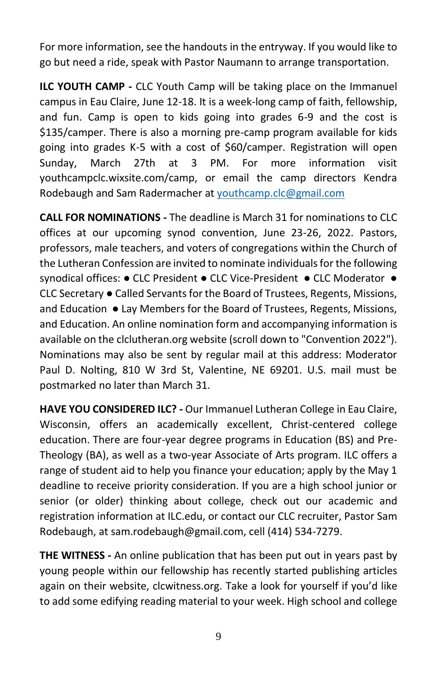For more information, see the handouts in the entryway. If you would like to go but need a ride, speak with Pastor Naumann to arrange transportation.

**ILC YOUTH CAMP -** CLC Youth Camp will be taking place on the Immanuel campus in Eau Claire, June 12-18. It is a week-long camp of faith, fellowship, and fun. Camp is open to kids going into grades 6-9 and the cost is \$135/camper. There is also a morning pre-camp program available for kids going into grades K-5 with a cost of \$60/camper. Registration will open Sunday, March 27th at 3 PM. For more information visit youthcampclc.wixsite.com/camp, or email the camp directors Kendra Rodebaugh and Sam Radermacher a[t youthcamp.clc@gmail.com](mailto:youthcamp.clc@gmail.com)

**CALL FOR NOMINATIONS -** The deadline is March 31 for nominations to CLC offices at our upcoming synod convention, June 23-26, 2022. Pastors, professors, male teachers, and voters of congregations within the Church of the Lutheran Confession are invited to nominate individuals for the following synodical offices: • CLC President • CLC Vice-President • CLC Moderator • CLC Secretary ● Called Servants for the Board of Trustees, Regents, Missions, and Education ● Lay Members for the Board of Trustees, Regents, Missions, and Education. An online nomination form and accompanying information is available on the clclutheran.org website (scroll down to "Convention 2022"). Nominations may also be sent by regular mail at this address: Moderator Paul D. Nolting, 810 W 3rd St, Valentine, NE 69201. U.S. mail must be postmarked no later than March 31.

**HAVE YOU CONSIDERED ILC? -** Our Immanuel Lutheran College in Eau Claire, Wisconsin, offers an academically excellent, Christ-centered college education. There are four-year degree programs in Education (BS) and Pre-Theology (BA), as well as a two-year Associate of Arts program. ILC offers a range of student aid to help you finance your education; apply by the May 1 deadline to receive priority consideration. If you are a high school junior or senior (or older) thinking about college, check out our academic and registration information at ILC.edu, or contact our CLC recruiter, Pastor Sam Rodebaugh, at sam.rodebaugh@gmail.com, cell (414) 534-7279.

**THE WITNESS -** An online publication that has been put out in years past by young people within our fellowship has recently started publishing articles again on their website, clcwitness.org. Take a look for yourself if you'd like to add some edifying reading material to your week. High school and college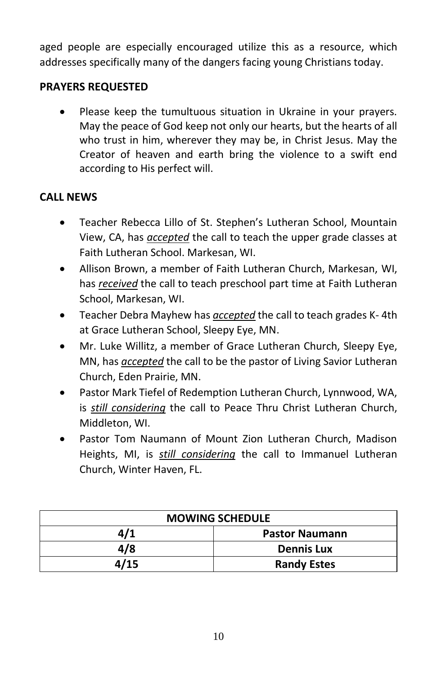aged people are especially encouraged utilize this as a resource, which addresses specifically many of the dangers facing young Christians today.

### **PRAYERS REQUESTED**

• Please keep the tumultuous situation in Ukraine in your prayers. May the peace of God keep not only our hearts, but the hearts of all who trust in him, wherever they may be, in Christ Jesus. May the Creator of heaven and earth bring the violence to a swift end according to His perfect will.

### **CALL NEWS**

- Teacher Rebecca Lillo of St. Stephen's Lutheran School, Mountain View, CA, has *accepted* the call to teach the upper grade classes at Faith Lutheran School. Markesan, WI.
- Allison Brown, a member of Faith Lutheran Church, Markesan, WI, has *received* the call to teach preschool part time at Faith Lutheran School, Markesan, WI.
- Teacher Debra Mayhew has *accepted* the call to teach grades K- 4th at Grace Lutheran School, Sleepy Eye, MN.
- Mr. Luke Willitz, a member of Grace Lutheran Church, Sleepy Eye, MN, has *accepted* the call to be the pastor of Living Savior Lutheran Church, Eden Prairie, MN.
- Pastor Mark Tiefel of Redemption Lutheran Church, Lynnwood, WA, is *still considering* the call to Peace Thru Christ Lutheran Church, Middleton, WI.
- Pastor Tom Naumann of Mount Zion Lutheran Church, Madison Heights, MI, is *still considering* the call to Immanuel Lutheran Church, Winter Haven, FL.

| <b>MOWING SCHEDULE</b> |                       |  |
|------------------------|-----------------------|--|
| 4/1                    | <b>Pastor Naumann</b> |  |
| 4/8                    | <b>Dennis Lux</b>     |  |
| 4/15                   | <b>Randy Estes</b>    |  |